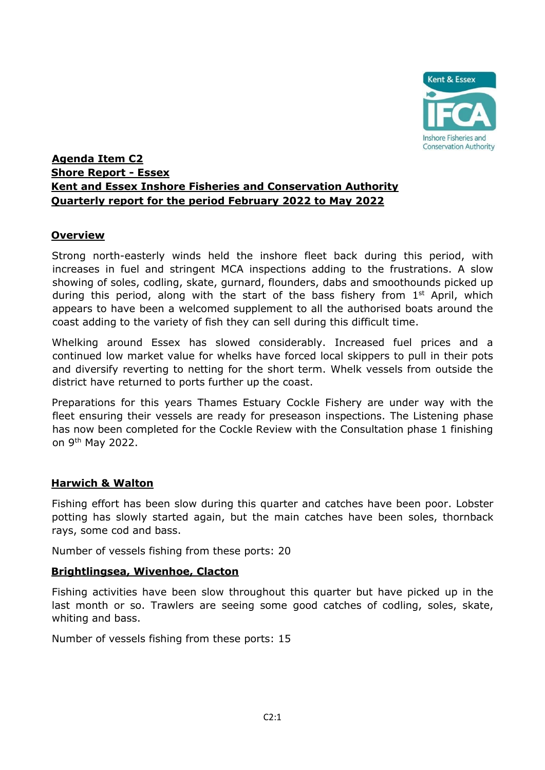

# **Agenda Item C2 Shore Report - Essex Kent and Essex Inshore Fisheries and Conservation Authority Quarterly report for the period February 2022 to May 2022**

## **Overview**

Strong north-easterly winds held the inshore fleet back during this period, with increases in fuel and stringent MCA inspections adding to the frustrations. A slow showing of soles, codling, skate, gurnard, flounders, dabs and smoothounds picked up during this period, along with the start of the bass fishery from 1<sup>st</sup> April, which appears to have been a welcomed supplement to all the authorised boats around the coast adding to the variety of fish they can sell during this difficult time.

Whelking around Essex has slowed considerably. Increased fuel prices and a continued low market value for whelks have forced local skippers to pull in their pots and diversify reverting to netting for the short term. Whelk vessels from outside the district have returned to ports further up the coast.

Preparations for this years Thames Estuary Cockle Fishery are under way with the fleet ensuring their vessels are ready for preseason inspections. The Listening phase has now been completed for the Cockle Review with the Consultation phase 1 finishing on 9th May 2022.

### **Harwich & Walton**

Fishing effort has been slow during this quarter and catches have been poor. Lobster potting has slowly started again, but the main catches have been soles, thornback rays, some cod and bass.

Number of vessels fishing from these ports: 20

### **Brightlingsea, Wivenhoe, Clacton**

Fishing activities have been slow throughout this quarter but have picked up in the last month or so. Trawlers are seeing some good catches of codling, soles, skate, whiting and bass.

Number of vessels fishing from these ports: 15